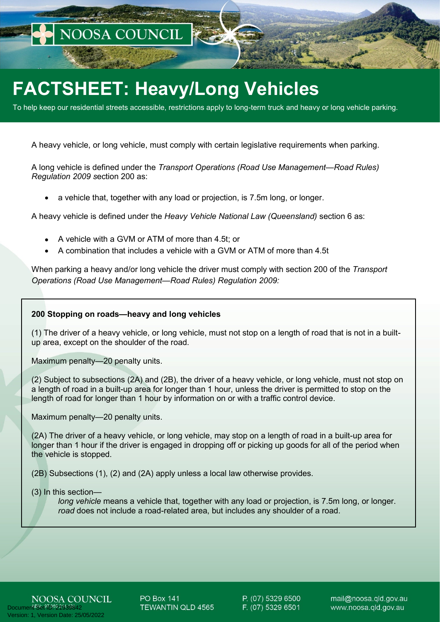# **FACTSHEET: Heavy/Long Vehicles**

To help keep our residential streets accessible, restrictions apply to long-term truck and heavy or long vehicle parking.

A heavy vehicle, or long vehicle, must comply with certain legislative requirements when parking.

A long vehicle is defined under the *Transport Operations (Road Use Management—Road Rules) Regulation 2009 s*ection 200 as:

a vehicle that, together with any load or projection, is 7.5m long, or longer.

A heavy vehicle is defined under the *Heavy Vehicle National Law (Queensland)* section 6 as:

- A vehicle with a GVM or ATM of more than 4.5t; or
- A combination that includes a vehicle with a GVM or ATM of more than 4.5t

When parking a heavy and/or long vehicle the driver must comply with section 200 of the *Transport Operations (Road Use Management—Road Rules) Regulation 2009:*

#### **200 Stopping on roads—heavy and long vehicles**

(1) The driver of a heavy vehicle, or long vehicle, must not stop on a length of road that is not in a builtup area, except on the shoulder of the road.

Maximum penalty—20 penalty units.

(2) Subject to subsections (2A) and (2B), the driver of a heavy vehicle, or long vehicle, must not stop on a length of road in a built-up area for longer than 1 hour, unless the driver is permitted to stop on the length of road for longer than 1 hour by information on or with a traffic control device.

Maximum penalty—20 penalty units.

(2A) The driver of a heavy vehicle, or long vehicle, may stop on a length of road in a built-up area for longer than 1 hour if the driver is engaged in dropping off or picking up goods for all of the period when the vehicle is stopped.

(2B) Subsections (1), (2) and (2A) apply unless a local law otherwise provides.

(3) In this section—

*long vehicle* means a vehicle that, together with any load or projection, is 7.5m long, or longer. *road* does not include a road-related area, but includes any shoulder of a road.

NOOSA COUNCIL version: 1, Version<br>In: 1, Version Date: 25/05/2022

**PO Box 141** TEWANTIN QLD 4565 P. (07) 5329 6500 F. (07) 5329 6501

mail@noosa.qld.gov.au www.noosa.qld.gov.au